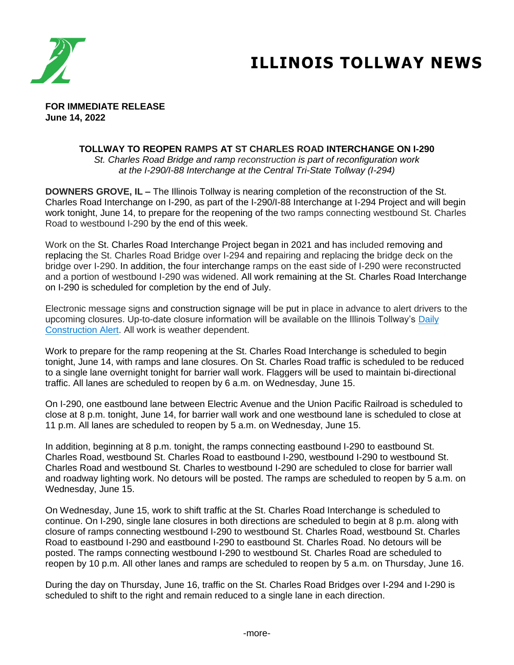

# **ILLINOIS TOLLWAY NEWS**

**FOR IMMEDIATE RELEASE June 14, 2022**

#### **TOLLWAY TO REOPEN RAMPS AT ST CHARLES ROAD INTERCHANGE ON I-290**

*St. Charles Road Bridge and ramp reconstruction is part of reconfiguration work at the I-290/I-88 Interchange at the Central Tri-State Tollway (I-294)*

**DOWNERS GROVE, IL –** The Illinois Tollway is nearing completion of the reconstruction of the St. Charles Road Interchange on I-290, as part of the I-290/I-88 Interchange at I-294 Project and will begin work tonight, June 14, to prepare for the reopening of the two ramps connecting westbound St. Charles Road to westbound I-290 by the end of this week.

Work on the St. Charles Road Interchange Project began in 2021 and has included removing and replacing the St. Charles Road Bridge over I-294 and repairing and replacing the bridge deck on the bridge over I-290. In addition, the four interchange ramps on the east side of I-290 were reconstructed and a portion of westbound I-290 was widened. All work remaining at the St. Charles Road Interchange on I-290 is scheduled for completion by the end of July.

Electronic message signs and construction signage will be put in place in advance to alert drivers to the upcoming closures. Up-to-date closure information will be available on the Illinois Tollway's [Daily](https://www.illinoistollway.com/media-center/construction-alerts)  [Construction Alert.](https://www.illinoistollway.com/media-center/construction-alerts) All work is weather dependent.

Work to prepare for the ramp reopening at the St. Charles Road Interchange is scheduled to begin tonight, June 14, with ramps and lane closures. On St. Charles Road traffic is scheduled to be reduced to a single lane overnight tonight for barrier wall work. Flaggers will be used to maintain bi-directional traffic. All lanes are scheduled to reopen by 6 a.m. on Wednesday, June 15.

On I-290, one eastbound lane between Electric Avenue and the Union Pacific Railroad is scheduled to close at 8 p.m. tonight, June 14, for barrier wall work and one westbound lane is scheduled to close at 11 p.m. All lanes are scheduled to reopen by 5 a.m. on Wednesday, June 15.

In addition, beginning at 8 p.m. tonight, the ramps connecting eastbound I-290 to eastbound St. Charles Road, westbound St. Charles Road to eastbound I-290, westbound I-290 to westbound St. Charles Road and westbound St. Charles to westbound I-290 are scheduled to close for barrier wall and roadway lighting work. No detours will be posted. The ramps are scheduled to reopen by 5 a.m. on Wednesday, June 15.

On Wednesday, June 15, work to shift traffic at the St. Charles Road Interchange is scheduled to continue. On I-290, single lane closures in both directions are scheduled to begin at 8 p.m. along with closure of ramps connecting westbound I-290 to westbound St. Charles Road, westbound St. Charles Road to eastbound I-290 and eastbound I-290 to eastbound St. Charles Road. No detours will be posted. The ramps connecting westbound I-290 to westbound St. Charles Road are scheduled to reopen by 10 p.m. All other lanes and ramps are scheduled to reopen by 5 a.m. on Thursday, June 16.

During the day on Thursday, June 16, traffic on the St. Charles Road Bridges over I-294 and I-290 is scheduled to shift to the right and remain reduced to a single lane in each direction.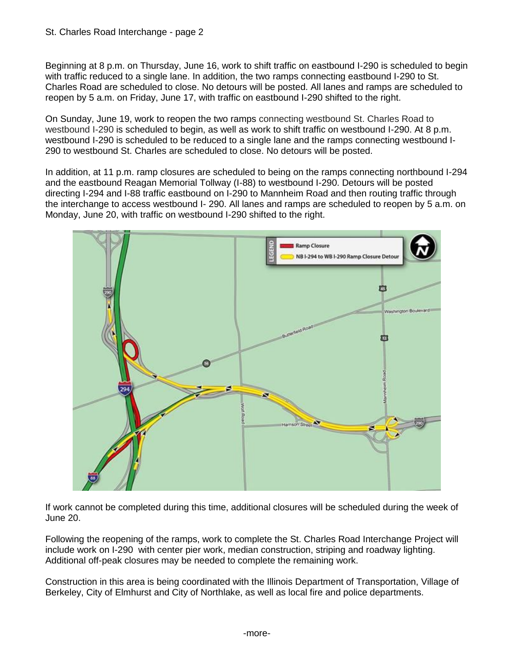Beginning at 8 p.m. on Thursday, June 16, work to shift traffic on eastbound I-290 is scheduled to begin with traffic reduced to a single lane. In addition, the two ramps connecting eastbound I-290 to St. Charles Road are scheduled to close. No detours will be posted. All lanes and ramps are scheduled to reopen by 5 a.m. on Friday, June 17, with traffic on eastbound I-290 shifted to the right.

On Sunday, June 19, work to reopen the two ramps connecting westbound St. Charles Road to westbound I-290 is scheduled to begin, as well as work to shift traffic on westbound I-290. At 8 p.m. westbound I-290 is scheduled to be reduced to a single lane and the ramps connecting westbound I-290 to westbound St. Charles are scheduled to close. No detours will be posted.

In addition, at 11 p.m. ramp closures are scheduled to being on the ramps connecting northbound I-294 and the eastbound Reagan Memorial Tollway (I-88) to westbound I-290. Detours will be posted directing I-294 and I-88 traffic eastbound on I-290 to Mannheim Road and then routing traffic through the interchange to access westbound I- 290. All lanes and ramps are scheduled to reopen by 5 a.m. on Monday, June 20, with traffic on westbound I-290 shifted to the right.



If work cannot be completed during this time, additional closures will be scheduled during the week of June 20.

Following the reopening of the ramps, work to complete the St. Charles Road Interchange Project will include work on I-290 with center pier work, median construction, striping and roadway lighting. Additional off-peak closures may be needed to complete the remaining work.

Construction in this area is being coordinated with the Illinois Department of Transportation, Village of Berkeley, City of Elmhurst and City of Northlake, as well as local fire and police departments.